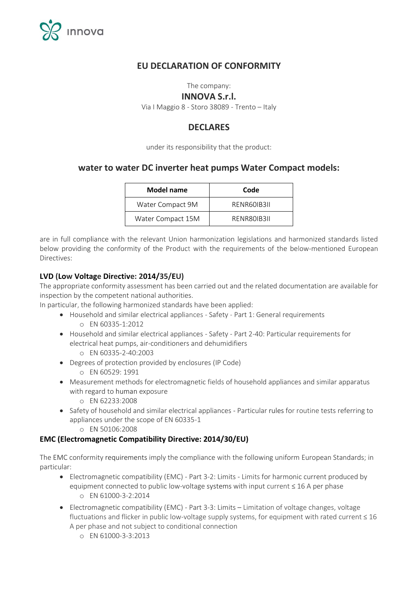

# **EU DECLARATION OF CONFORMITY**

The company:

#### **INNOVA S.r.l.**

Via I Maggio 8 - Storo 38089 - Trento – Italy

# **DECLARES**

under its responsibility that the product:

## **water to water DC inverter heat pumps Water Compact models:**

| <b>Model name</b> | Code        |
|-------------------|-------------|
| Water Compact 9M  | RENR601B311 |
| Water Compact 15M | RENR80IB3II |

are in full compliance with the relevant Union harmonization legislations and harmonized standards listed below providing the conformity of the Product with the requirements of the below-mentioned European Directives:

#### **LVD (Low Voltage Directive: 2014/35/EU)**

The appropriate conformity assessment has been carried out and the related documentation are available for inspection by the competent national authorities.

In particular, the following harmonized standards have been applied:

- Household and similar electrical appliances Safety Part 1: General requirements o EN 60335-1:2012
- Household and similar electrical appliances Safety Part 2-40: Particular requirements for electrical heat pumps, air-conditioners and dehumidifiers
	- o EN 60335-2-40:2003
- Degrees of protection provided by enclosures (IP Code)
	- o EN 60529: 1991
- Measurement methods for electromagnetic fields of household appliances and similar apparatus with regard to human exposure
	- o EN 62233:2008
- Safety of household and similar electrical appliances Particular rules for routine tests referring to appliances under the scope of EN 60335-1
	- o EN 50106:2008

#### **EMC (Electromagnetic Compatibility Directive: 2014/30/EU)**

The EMC conformity requirements imply the compliance with the following uniform European Standards; in particular:

- Electromagnetic compatibility (EMC) Part 3-2: Limits Limits for harmonic current produced by equipment connected to public low-voltage systems with input current  $\leq 16$  A per phase o EN 61000-3-2:2014
- Electromagnetic compatibility (EMC) Part 3-3: Limits Limitation of voltage changes, voltage fluctuations and flicker in public low-voltage supply systems, for equipment with rated current ≤ 16 A per phase and not subject to conditional connection
	- o EN 61000-3-3:2013